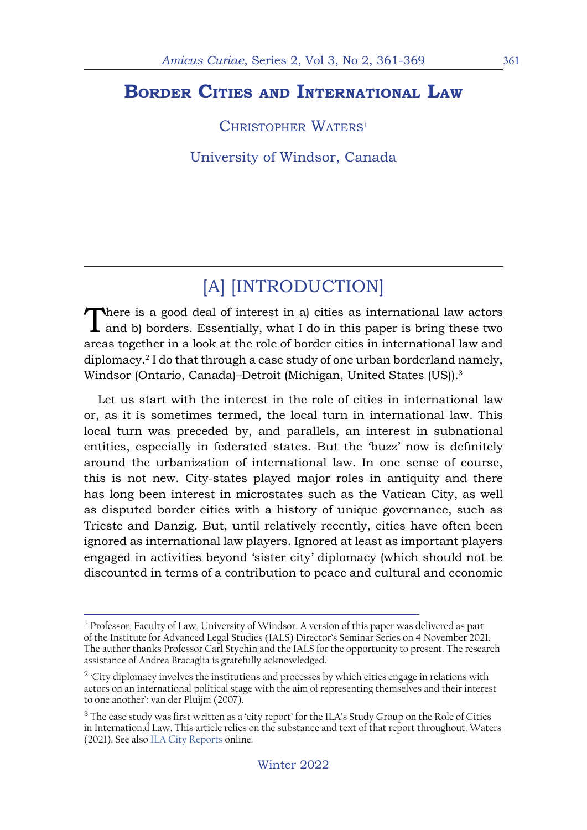## **Border Cities and International Law**

CHRISTOPHER WATERS<sup>1</sup>

University of Windsor, Canada

# [A] [INTRODUCTION]

There is a good deal of interest in a) cities as international law actors and b) borders. Essentially, what I do in this paper is bring these two areas together in a look at the role of border cities in international law and diplomacy.2 I do that through a case study of one urban borderland namely, Windsor (Ontario, Canada)–Detroit (Michigan, United States (US)).<sup>3</sup>

Let us start with the interest in the role of cities in international law or, as it is sometimes termed, the local turn in international law. This local turn was preceded by, and parallels, an interest in subnational entities, especially in federated states. But the 'buzz' now is definitely around the urbanization of international law. In one sense of course, this is not new. City-states played major roles in antiquity and there has long been interest in microstates such as the Vatican City, as well as disputed border cities with a history of unique governance, such as Trieste and Danzig. But, until relatively recently, cities have often been ignored as international law players. Ignored at least as important players engaged in activities beyond 'sister city' diplomacy (which should not be discounted in terms of a contribution to peace and cultural and economic

<sup>&</sup>lt;sup>1</sup> Professor, Faculty of Law, University of Windsor. A version of this paper was delivered as part of the Institute for Advanced Legal Studies (IALS) Director's Seminar Series on 4 November 2021. The author thanks Professor Carl Stychin and the IALS for the opportunity to present. The research assistance of Andrea Bracaglia is gratefully acknowledged.

<sup>&</sup>lt;sup>2</sup> 'City diplomacy involves the institutions and processes by which cities engage in relations with actors on an international political stage with the aim of representing themselves and their interest to one another': van der Pluijm (2007).

<sup>&</sup>lt;sup>3</sup> The case study was first written as a 'city report' for the ILA's Study Group on the Role of Cities in International Law. This article relies on the substance and text of that report throughout: Waters (2021). See also ILA City Reports online.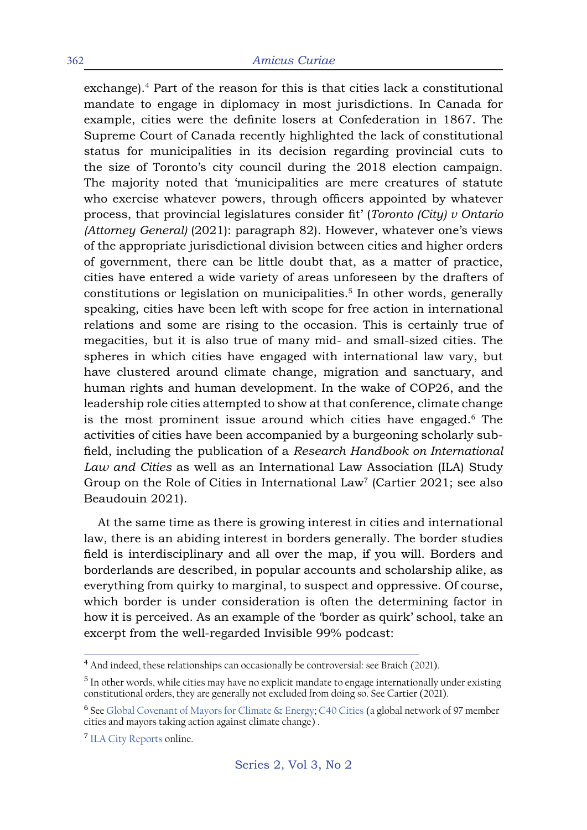#### 362 *Amicus Curiae*

exchange).<sup>4</sup> Part of the reason for this is that cities lack a constitutional mandate to engage in diplomacy in most jurisdictions. In Canada for example, cities were the definite losers at Confederation in 1867. The Supreme Court of Canada recently highlighted the lack of constitutional status for municipalities in its decision regarding provincial cuts to the size of Toronto's city council during the 2018 election campaign. The majority noted that 'municipalities are mere creatures of statute who exercise whatever powers, through officers appointed by whatever process, that provincial legislatures consider fit' (*Toronto (City) v Ontario (Attorney General)* (2021): paragraph 82). However, whatever one's views of the appropriate jurisdictional division between cities and higher orders of government, there can be little doubt that, as a matter of practice, cities have entered a wide variety of areas unforeseen by the drafters of constitutions or legislation on municipalities.<sup>5</sup> In other words, generally speaking, cities have been left with scope for free action in international relations and some are rising to the occasion. This is certainly true of megacities, but it is also true of many mid- and small-sized cities. The spheres in which cities have engaged with international law vary, but have clustered around climate change, migration and sanctuary, and human rights and human development. In the wake of COP26, and the leadership role cities attempted to show at that conference, climate change is the most prominent issue around which cities have engaged.<sup>6</sup> The activities of cities have been accompanied by a burgeoning scholarly subfield, including the publication of a *Research Handbook on International Law and Cities* as well as an International Law Association (ILA) Study Group on the Role of Cities in International  $Law<sup>7</sup>$  (Cartier 2021; see also Beaudouin 2021).

At the same time as there is growing interest in cities and international law, there is an abiding interest in borders generally. The border studies field is interdisciplinary and all over the map, if you will. Borders and borderlands are described, in popular accounts and scholarship alike, as everything from quirky to marginal, to suspect and oppressive. Of course, which border is under consideration is often the determining factor in how it is perceived. As an example of the 'border as quirk' school, take an excerpt from the well-regarded Invisible 99% podcast:

<sup>&</sup>lt;sup>4</sup> And indeed, these relationships can occasionally be controversial: see Braich (2021).

<sup>&</sup>lt;sup>5</sup> In other words, while cities may have no explicit mandate to engage internationally under existing constitutional orders, they are generally not excluded from doing so. See Cartier (2021).

<sup>&</sup>lt;sup>6</sup> See Global Covenant of Mayors for Climate & Energy; C40 Cities (a global network of 97 member cities and mayors taking action against climate change) .

<sup>7</sup> ILA City Reports online.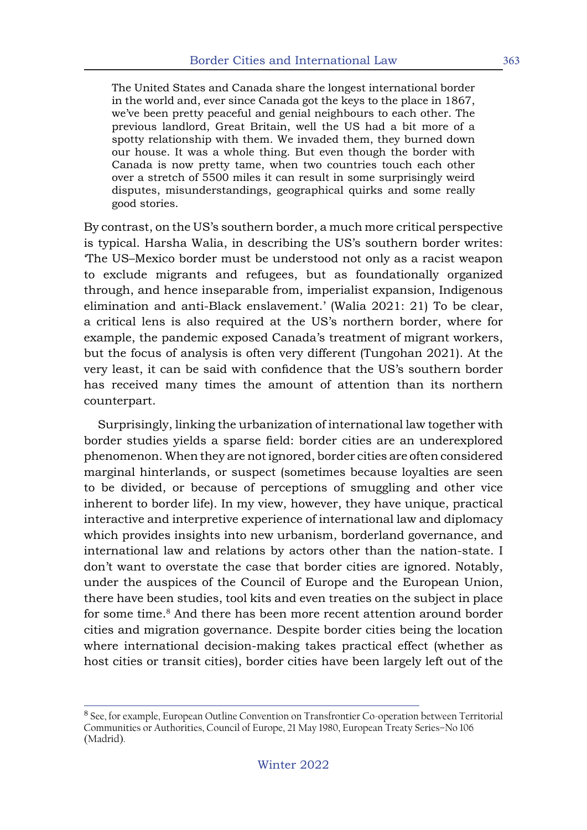The United States and Canada share the longest international border in the world and, ever since Canada got the keys to the place in 1867, we've been pretty peaceful and genial neighbours to each other. The previous landlord, Great Britain, well the US had a bit more of a spotty relationship with them. We invaded them, they burned down our house. It was a whole thing. But even though the border with Canada is now pretty tame, when two countries touch each other over a stretch of 5500 miles it can result in some surprisingly weird disputes, misunderstandings, geographical quirks and some really good stories.

By contrast, on the US's southern border, a much more critical perspective is typical. Harsha Walia, in describing the US's southern border writes: 'The US–Mexico border must be understood not only as a racist weapon to exclude migrants and refugees, but as foundationally organized through, and hence inseparable from, imperialist expansion, Indigenous elimination and anti-Black enslavement.' (Walia 2021: 21) To be clear, a critical lens is also required at the US's northern border, where for example, the pandemic exposed Canada's treatment of migrant workers, but the focus of analysis is often very different (Tungohan 2021). At the very least, it can be said with confidence that the US's southern border has received many times the amount of attention than its northern counterpart.

Surprisingly, linking the urbanization of international law together with border studies yields a sparse field: border cities are an underexplored phenomenon. When they are not ignored, border cities are often considered marginal hinterlands, or suspect (sometimes because loyalties are seen to be divided, or because of perceptions of smuggling and other vice inherent to border life). In my view, however, they have unique, practical interactive and interpretive experience of international law and diplomacy which provides insights into new urbanism, borderland governance, and international law and relations by actors other than the nation-state. I don't want to overstate the case that border cities are ignored. Notably, under the auspices of the Council of Europe and the European Union, there have been studies, tool kits and even treaties on the subject in place for some time.<sup>8</sup> And there has been more recent attention around border cities and migration governance. Despite border cities being the location where international decision-making takes practical effect (whether as host cities or transit cities), border cities have been largely left out of the

<sup>8</sup> See, for example, European Outline Convention on Transfrontier Co-operation between Territorial Communities or Authorities, Council of Europe, 21 May 1980, European Treaty Series–No 106 (Madrid).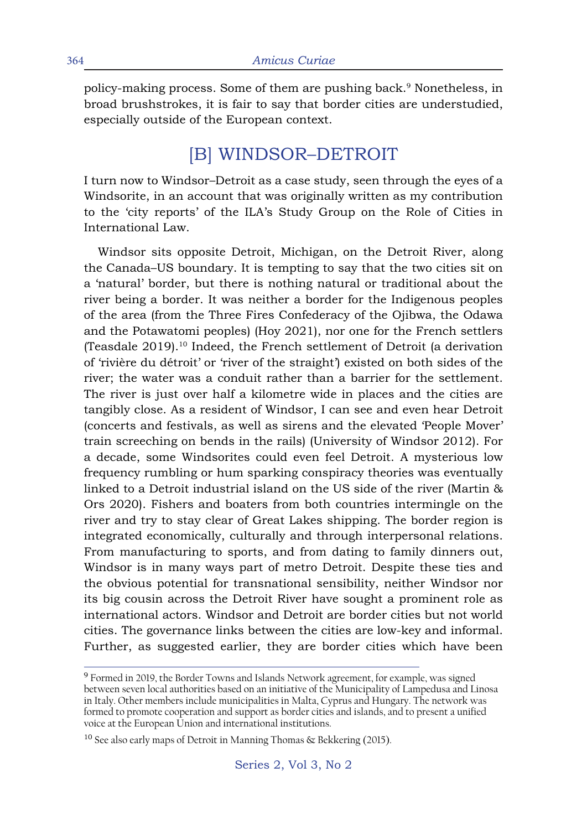policy-making process. Some of them are pushing back.<sup>9</sup> Nonetheless, in broad brushstrokes, it is fair to say that border cities are understudied, especially outside of the European context.

## [B] WINDSOR–DETROIT

I turn now to Windsor–Detroit as a case study, seen through the eyes of a Windsorite, in an account that was originally written as my contribution to the 'city reports' of the ILA's Study Group on the Role of Cities in International Law.

Windsor sits opposite Detroit, Michigan, on the Detroit River, along the Canada–US boundary. It is tempting to say that the two cities sit on a 'natural' border, but there is nothing natural or traditional about the river being a border. It was neither a border for the Indigenous peoples of the area (from the Three Fires Confederacy of the Ojibwa, the Odawa and the Potawatomi peoples) (Hoy 2021), nor one for the French settlers (Teasdale 2019).10 Indeed, the French settlement of Detroit (a derivation of 'rivière du détroit' or 'river of the straight') existed on both sides of the river; the water was a conduit rather than a barrier for the settlement. The river is just over half a kilometre wide in places and the cities are tangibly close. As a resident of Windsor, I can see and even hear Detroit (concerts and festivals, as well as sirens and the elevated 'People Mover' train screeching on bends in the rails) (University of Windsor 2012). For a decade, some Windsorites could even feel Detroit. A mysterious low frequency rumbling or hum sparking conspiracy theories was eventually linked to a Detroit industrial island on the US side of the river (Martin & Ors 2020). Fishers and boaters from both countries intermingle on the river and try to stay clear of Great Lakes shipping. The border region is integrated economically, culturally and through interpersonal relations. From manufacturing to sports, and from dating to family dinners out, Windsor is in many ways part of metro Detroit. Despite these ties and the obvious potential for transnational sensibility, neither Windsor nor its big cousin across the Detroit River have sought a prominent role as international actors. Windsor and Detroit are border cities but not world cities. The governance links between the cities are low-key and informal. Further, as suggested earlier, they are border cities which have been

<sup>9</sup> Formed in 2019, the Border Towns and Islands Network agreement, for example, was signed between seven local authorities based on an initiative of the Municipality of Lampedusa and Linosa in Italy. Other members include municipalities in Malta, Cyprus and Hungary. The network was formed to promote cooperation and support as border cities and islands, and to present a unified voice at the European Union and international institutions.

<sup>&</sup>lt;sup>10</sup> See also early maps of Detroit in Manning Thomas & Bekkering (2015).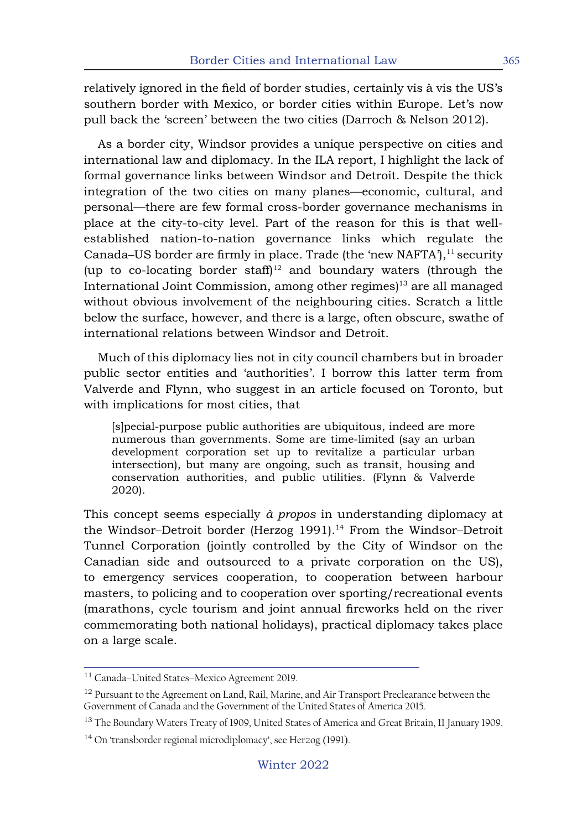relatively ignored in the field of border studies, certainly vis à vis the US's southern border with Mexico, or border cities within Europe. Let's now pull back the 'screen' between the two cities (Darroch & Nelson 2012).

As a border city, Windsor provides a unique perspective on cities and international law and diplomacy. In the ILA report, I highlight the lack of formal governance links between Windsor and Detroit. Despite the thick integration of the two cities on many planes—economic, cultural, and personal—there are few formal cross-border governance mechanisms in place at the city-to-city level. Part of the reason for this is that wellestablished nation-to-nation governance links which regulate the Canada–US border are firmly in place. Trade (the 'new NAFTA'),<sup>11</sup> security (up to co-locating border staff)<sup>12</sup> and boundary waters (through the International Joint Commission, among other regimes)<sup>13</sup> are all managed without obvious involvement of the neighbouring cities. Scratch a little below the surface, however, and there is a large, often obscure, swathe of international relations between Windsor and Detroit.

Much of this diplomacy lies not in city council chambers but in broader public sector entities and 'authorities'. I borrow this latter term from Valverde and Flynn, who suggest in an article focused on Toronto, but with implications for most cities, that

[s]pecial-purpose public authorities are ubiquitous, indeed are more numerous than governments. Some are time-limited (say an urban development corporation set up to revitalize a particular urban intersection), but many are ongoing, such as transit, housing and conservation authorities, and public utilities. (Flynn & Valverde 2020).

This concept seems especially *à propos* in understanding diplomacy at the Windsor-Detroit border (Herzog 1991).<sup>14</sup> From the Windsor-Detroit Tunnel Corporation (jointly controlled by the City of Windsor on the Canadian side and outsourced to a private corporation on the US), to emergency services cooperation, to cooperation between harbour masters, to policing and to cooperation over sporting/recreational events (marathons, cycle tourism and joint annual fireworks held on the river commemorating both national holidays), practical diplomacy takes place on a large scale.

<sup>11</sup> Canada–United States–Mexico Agreement 2019.

<sup>&</sup>lt;sup>12</sup> Pursuant to the Agreement on Land, Rail, Marine, and Air Transport Preclearance between the Government of Canada and the Government of the United States of America 2015.

<sup>&</sup>lt;sup>13</sup> The Boundary Waters Treaty of 1909, United States of America and Great Britain, 11 January 1909.

<sup>14</sup> On 'transborder regional microdiplomacy', see Herzog (1991).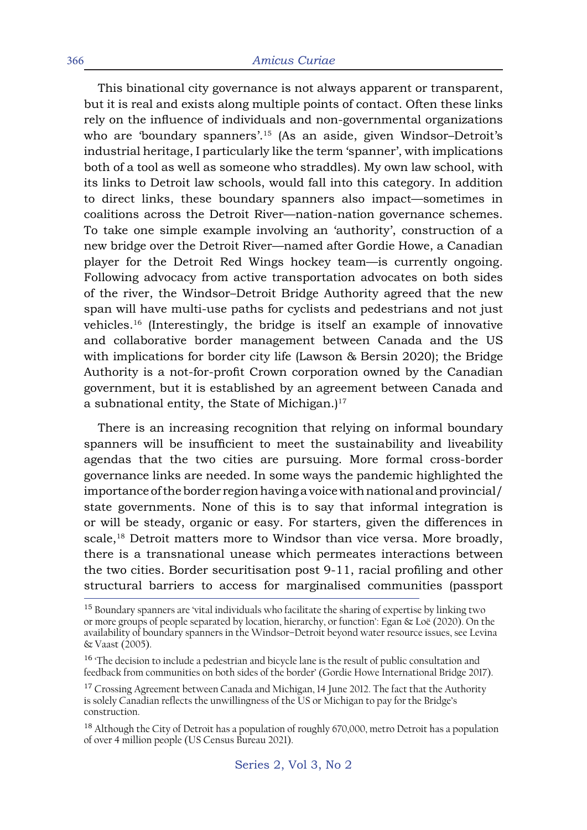This binational city governance is not always apparent or transparent, but it is real and exists along multiple points of contact. Often these links rely on the influence of individuals and non-governmental organizations who are 'boundary spanners'.<sup>15</sup> (As an aside, given Windsor-Detroit's industrial heritage, I particularly like the term 'spanner', with implications both of a tool as well as someone who straddles). My own law school, with its links to Detroit law schools, would fall into this category. In addition to direct links, these boundary spanners also impact—sometimes in coalitions across the Detroit River—nation-nation governance schemes. To take one simple example involving an 'authority', construction of a new bridge over the Detroit River—named after Gordie Howe, a Canadian player for the Detroit Red Wings hockey team—is currently ongoing. Following advocacy from active transportation advocates on both sides of the river, the Windsor–Detroit Bridge Authority agreed that the new span will have multi-use paths for cyclists and pedestrians and not just vehicles.<sup>16</sup> (Interestingly, the bridge is itself an example of innovative and collaborative border management between Canada and the US with implications for border city life (Lawson & Bersin 2020); the Bridge Authority is a not-for-profit Crown corporation owned by the Canadian government, but it is established by an agreement between Canada and a subnational entity, the State of Michigan.)<sup>17</sup>

There is an increasing recognition that relying on informal boundary spanners will be insufficient to meet the sustainability and liveability agendas that the two cities are pursuing. More formal cross-border governance links are needed. In some ways the pandemic highlighted the importance of the border region having a voice with national and provincial/ state governments. None of this is to say that informal integration is or will be steady, organic or easy. For starters, given the differences in scale,<sup>18</sup> Detroit matters more to Windsor than vice versa. More broadly, there is a transnational unease which permeates interactions between the two cities. Border securitisation post 9-11, racial profiling and other structural barriers to access for marginalised communities (passport

<sup>&</sup>lt;sup>15</sup> Boundary spanners are 'vital individuals who facilitate the sharing of expertise by linking two or more groups of people separated by location, hierarchy, or function': Egan & Loë (2020). On the availability of boundary spanners in the Windsor–Detroit beyond water resource issues, see Levina & Vaast (2005).

<sup>&</sup>lt;sup>16</sup> The decision to include a pedestrian and bicycle lane is the result of public consultation and feedback from communities on both sides of the border' (Gordie Howe International Bridge 2017).

<sup>&</sup>lt;sup>17</sup> Crossing Agreement between Canada and Michigan, 14 June 2012. The fact that the Authority is solely Canadian reflects the unwillingness of the US or Michigan to pay for the Bridge's construction.

<sup>&</sup>lt;sup>18</sup> Although the City of Detroit has a population of roughly 670,000, metro Detroit has a population of over 4 million people (US Census Bureau 2021).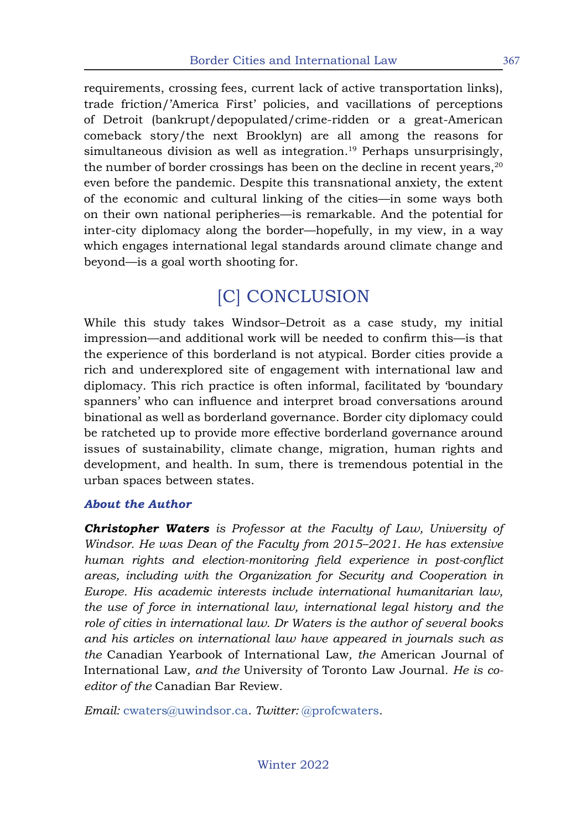requirements, crossing fees, current lack of active transportation links), trade friction/'America First' policies, and vacillations of perceptions of Detroit (bankrupt/depopulated/crime-ridden or a great-American comeback story/the next Brooklyn) are all among the reasons for simultaneous division as well as integration.<sup>19</sup> Perhaps unsurprisingly, the number of border crossings has been on the decline in recent years, $20$ even before the pandemic. Despite this transnational anxiety, the extent of the economic and cultural linking of the cities—in some ways both on their own national peripheries—is remarkable. And the potential for inter-city diplomacy along the border—hopefully, in my view, in a way which engages international legal standards around climate change and beyond—is a goal worth shooting for.

# [C] CONCLUSION

While this study takes Windsor–Detroit as a case study, my initial impression—and additional work will be needed to confirm this—is that the experience of this borderland is not atypical. Border cities provide a rich and underexplored site of engagement with international law and diplomacy. This rich practice is often informal, facilitated by 'boundary spanners' who can influence and interpret broad conversations around binational as well as borderland governance. Border city diplomacy could be ratcheted up to provide more effective borderland governance around issues of sustainability, climate change, migration, human rights and development, and health. In sum, there is tremendous potential in the urban spaces between states.

### *About the Author*

*Christopher Waters is Professor at the Faculty of Law, University of Windsor. He was Dean of the Faculty from 2015–2021. He has extensive human rights and election-monitoring field experience in post-conflict areas, including with the Organization for Security and Cooperation in Europe. His academic interests include international humanitarian law, the use of force in international law, international legal history and the role of cities in international law. Dr Waters is the author of several books and his articles on international law have appeared in journals such as the* Canadian Yearbook of International Law*, the* American Journal of International Law*, and the* University of Toronto Law Journal*. He is coeditor of the* Canadian Bar Review*.* 

*Email:* cwaters@uwindsor.ca*. Twitter:* @profcwaters*.*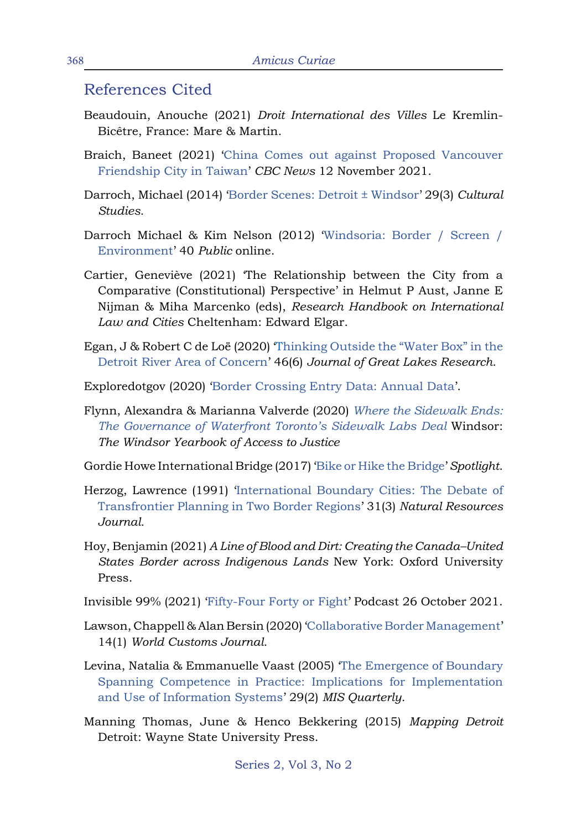### References Cited

- Beaudouin, Anouche (2021) *Droit International des Villes* Le Kremlin-Bicêtre, France: Mare & Martin.
- Braich, Baneet (2021) 'China Comes out against Proposed Vancouver Friendship City in Taiwan' *CBC News* 12 November 2021.
- Darroch, Michael (2014) 'Border Scenes: Detroit ± Windsor' 29(3) *Cultural Studies*.
- Darroch Michael & Kim Nelson (2012) 'Windsoria: Border / Screen / Environment' 40 *Public* online.
- Cartier, Geneviève (2021) 'The Relationship between the City from a Comparative (Constitutional) Perspective' in Helmut P Aust, Janne E Nijman & Miha Marcenko (eds), *Research Handbook on International Law and Cities* Cheltenham: Edward Elgar.
- Egan, J & Robert C de Loë (2020) 'Thinking Outside the "Water Box" in the Detroit River Area of Concern' 46(6) *Journal of Great Lakes Research*.
- Exploredotgov (2020) 'Border Crossing Entry Data: Annual Data'.
- Flynn, Alexandra & Marianna Valverde (2020) *Where the Sidewalk Ends: The Governance of Waterfront Toronto's Sidewalk Labs Deal* Windsor: *The Windsor Yearbook of Access to Justice*
- Gordie Howe International Bridge (2017) 'Bike or Hike the Bridge' *Spotlight*.
- Herzog, Lawrence (1991) 'International Boundary Cities: The Debate of Transfrontier Planning in Two Border Regions' 31(3) *Natural Resources Journal.*
- Hoy, Benjamin (2021) *A Line of Blood and Dirt: Creating the Canada–United States Border across Indigenous Lands* New York: Oxford University Press.
- Invisible 99% (2021) 'Fifty-Four Forty or Fight' Podcast 26 October 2021.
- Lawson, Chappell & Alan Bersin (2020) 'Collaborative Border Management' 14(1) *World Customs Journal.*
- Levina, Natalia & Emmanuelle Vaast (2005) 'The Emergence of Boundary Spanning Competence in Practice: Implications for Implementation and Use of Information Systems' 29(2) *MIS Quarterly*.
- Manning Thomas, June & Henco Bekkering (2015) *Mapping Detroit* Detroit: Wayne State University Press.